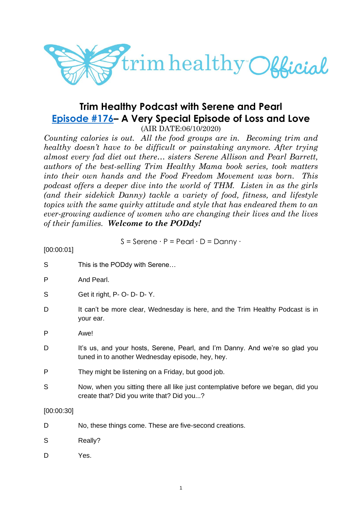

# **Trim Healthy Podcast with Serene and Pearl [Episode #176](https://cms.megaphone.fm/channel/trimhealthypodcast?selected=ADL9040333443)– A Very Special Episode of Loss and Love**

(AIR DATE:06/10/2020)

*Counting calories is out. All the food groups are in. Becoming trim and healthy doesn't have to be difficult or painstaking anymore. After trying almost every fad diet out there… sisters Serene Allison and Pearl Barrett, authors of the best-selling Trim Healthy Mama book series, took matters into their own hands and the Food Freedom Movement was born. This podcast offers a deeper dive into the world of THM. Listen in as the girls (and their sidekick Danny) tackle a variety of food, fitness, and lifestyle topics with the same quirky attitude and style that has endeared them to an ever-growing audience of women who are changing their lives and the lives of their families. Welcome to the PODdy!*

$$
S =
$$
Serene · P = Pearl · D = Danny ·

[00:00:01]

| S          | This is the PODdy with Serene                                                                                                    |
|------------|----------------------------------------------------------------------------------------------------------------------------------|
| P          | And Pearl.                                                                                                                       |
| S          | Get it right, P- O- D- D- Y.                                                                                                     |
| D          | It can't be more clear, Wednesday is here, and the Trim Healthy Podcast is in<br>your ear.                                       |
| P          | Awe!                                                                                                                             |
| D          | It's us, and your hosts, Serene, Pearl, and I'm Danny. And we're so glad you<br>tuned in to another Wednesday episode, hey, hey. |
| P          | They might be listening on a Friday, but good job.                                                                               |
| S          | Now, when you sitting there all like just contemplative before we began, did you<br>create that? Did you write that? Did you?    |
| [00:00:30] |                                                                                                                                  |
| D          | No, these things come. These are five-second creations.                                                                          |
| S          | Really?                                                                                                                          |
| D          | Yes.                                                                                                                             |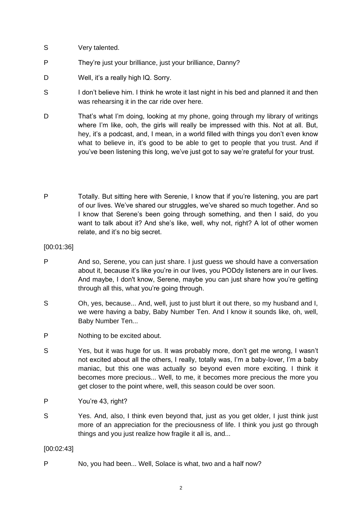- S Very talented.
- P They're just your brilliance, just your brilliance, Danny?
- D Well, it's a really high IQ, Sorry.
- S I don't believe him. I think he wrote it last night in his bed and planned it and then was rehearsing it in the car ride over here.
- D That's what I'm doing, looking at my phone, going through my library of writings where I'm like, ooh, the girls will really be impressed with this. Not at all. But, hey, it's a podcast, and, I mean, in a world filled with things you don't even know what to believe in, it's good to be able to get to people that you trust. And if you've been listening this long, we've just got to say we're grateful for your trust.
- P Totally. But sitting here with Serenie, I know that if you're listening, you are part of our lives. We've shared our struggles, we've shared so much together. And so I know that Serene's been going through something, and then I said, do you want to talk about it? And she's like, well, why not, right? A lot of other women relate, and it's no big secret.
- [00:01:36]
- P And so, Serene, you can just share. I just guess we should have a conversation about it, because it's like you're in our lives, you PODdy listeners are in our lives. And maybe, I don't know, Serene, maybe you can just share how you're getting through all this, what you're going through.
- S Oh, yes, because... And, well, just to just blurt it out there, so my husband and I, we were having a baby, Baby Number Ten. And I know it sounds like, oh, well, Baby Number Ten...
- P Nothing to be excited about.
- S Yes, but it was huge for us. It was probably more, don't get me wrong, I wasn't not excited about all the others, I really, totally was, I'm a baby-lover, I'm a baby maniac, but this one was actually so beyond even more exciting. I think it becomes more precious... Well, to me, it becomes more precious the more you get closer to the point where, well, this season could be over soon.
- P You're 43, right?
- S Yes. And, also, I think even beyond that, just as you get older, I just think just more of an appreciation for the preciousness of life. I think you just go through things and you just realize how fragile it all is, and...

[00:02:43]

P No, you had been... Well, Solace is what, two and a half now?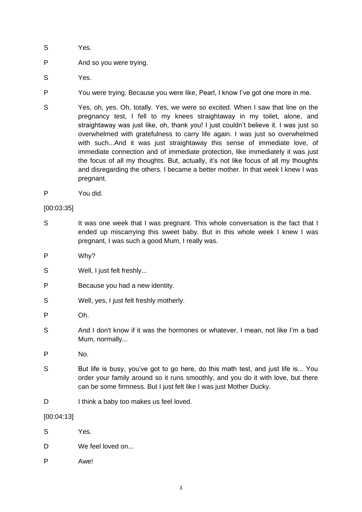- S Yes.
- P And so you were trying.
- S Yes.
- P You were trying. Because you were like, Pearl, I know I've got one more in me.
- S Yes, oh, yes. Oh, totally. Yes, we were so excited. When I saw that line on the pregnancy test, I fell to my knees straightaway in my toilet, alone, and straightaway was just like, oh, thank you! I just couldn't believe it. I was just so overwhelmed with gratefulness to carry life again. I was just so overwhelmed with such...And it was just straightaway this sense of immediate love, of immediate connection and of immediate protection, like immediately it was just the focus of all my thoughts. But, actually, it's not like focus of all my thoughts and disregarding the others. I became a better mother. In that week I knew I was pregnant.
- P You did.

#### [00:03:35]

- S It was one week that I was pregnant. This whole conversation is the fact that I ended up miscarrying this sweet baby. But in this whole week I knew I was pregnant, I was such a good Mum, I really was.
- P Why?
- S Well, I just felt freshly...
- P Because you had a new identity.
- S Well, yes, I just felt freshly motherly.
- P Oh.
- S And I don't know if it was the hormones or whatever, I mean, not like I'm a bad Mum, normally...
- P No.
- S But life is busy, you've got to go here, do this math test, and just life is... You order your family around so it runs smoothly, and you do it with love, but there can be some firmness. But I just felt like I was just Mother Ducky.
- D I think a baby too makes us feel loved.

[00:04:13]

- S Yes.
- D We feel loved on.
- P Awe!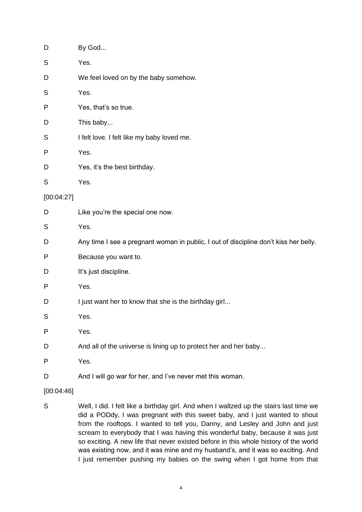| D          | By God                                                                               |
|------------|--------------------------------------------------------------------------------------|
| S          | Yes.                                                                                 |
| D          | We feel loved on by the baby somehow.                                                |
| S          | Yes.                                                                                 |
| P          | Yes, that's so true.                                                                 |
| D          | This baby                                                                            |
| S          | I felt love. I felt like my baby loved me.                                           |
| P          | Yes.                                                                                 |
| D          | Yes, it's the best birthday.                                                         |
| S          | Yes.                                                                                 |
| [00:04:27] |                                                                                      |
| D          | Like you're the special one now.                                                     |
| S          | Yes.                                                                                 |
| D          | Any time I see a pregnant woman in public, I out of discipline don't kiss her belly. |
| P          | Because you want to.                                                                 |
| D          | It's just discipline.                                                                |
| P          | Yes.                                                                                 |
| D          | I just want her to know that she is the birthday girl                                |
| S          | Yes.                                                                                 |
| P          | Yes.                                                                                 |
| D          | And all of the universe is lining up to protect her and her baby                     |
| Ρ          | Yes.                                                                                 |
| D          | And I will go war for her, and I've never met this woman.                            |
|            |                                                                                      |

- [00:04:46]
- S Well, I did. I felt like a birthday girl. And when I waltzed up the stairs last time we did a PODdy, I was pregnant with this sweet baby, and I just wanted to shout from the rooftops. I wanted to tell you, Danny, and Lesley and John and just scream to everybody that I was having this wonderful baby, because it was just so exciting. A new life that never existed before in this whole history of the world was existing now, and it was mine and my husband's, and it was so exciting. And I just remember pushing my babies on the swing when I got home from that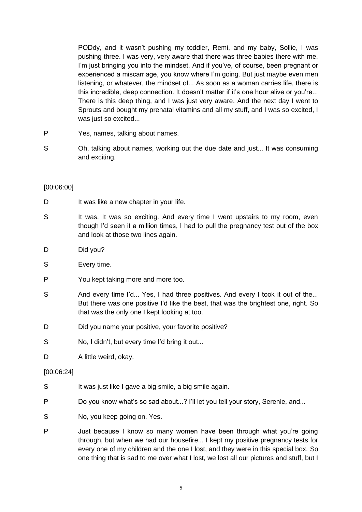PODdy, and it wasn't pushing my toddler, Remi, and my baby, Sollie, I was pushing three. I was very, very aware that there was three babies there with me. I'm just bringing you into the mindset. And if you've, of course, been pregnant or experienced a miscarriage, you know where I'm going. But just maybe even men listening, or whatever, the mindset of... As soon as a woman carries life, there is this incredible, deep connection. It doesn't matter if it's one hour alive or you're... There is this deep thing, and I was just very aware. And the next day I went to Sprouts and bought my prenatal vitamins and all my stuff, and I was so excited, I was just so excited...

- P Yes, names, talking about names.
- S Oh, talking about names, working out the due date and just... It was consuming and exciting.

# [00:06:00]

- D It was like a new chapter in your life.
- S It was. It was so exciting. And every time I went upstairs to my room, even though I'd seen it a million times, I had to pull the pregnancy test out of the box and look at those two lines again.
- D Did you?
- S Every time.
- P You kept taking more and more too.
- S And every time I'd... Yes, I had three positives. And every I took it out of the... But there was one positive I'd like the best, that was the brightest one, right. So that was the only one I kept looking at too.
- D Did you name your positive, your favorite positive?
- S No, I didn't, but every time I'd bring it out...
- D A little weird, okay.

#### [00:06:24]

- S It was just like I gave a big smile, a big smile again.
- P Do you know what's so sad about...? I'll let you tell your story, Serenie, and...
- S No, you keep going on. Yes.
- P Just because I know so many women have been through what you're going through, but when we had our housefire... I kept my positive pregnancy tests for every one of my children and the one I lost, and they were in this special box. So one thing that is sad to me over what I lost, we lost all our pictures and stuff, but I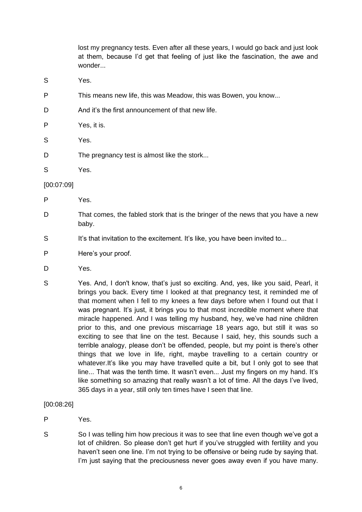lost my pregnancy tests. Even after all these years, I would go back and just look at them, because I'd get that feeling of just like the fascination, the awe and wonder

- S Yes.
- P This means new life, this was Meadow, this was Bowen, you know...
- D And it's the first announcement of that new life.
- P Yes, it is.
- S Yes.
- D The pregnancy test is almost like the stork...
- S Yes.

# [00:07:09]

- P Yes.
- D That comes, the fabled stork that is the bringer of the news that you have a new baby.
- S It's that invitation to the excitement. It's like, you have been invited to...
- P Here's your proof.
- D Yes.
- S Yes. And, I don't know, that's just so exciting. And, yes, like you said, Pearl, it brings you back. Every time I looked at that pregnancy test, it reminded me of that moment when I fell to my knees a few days before when I found out that I was pregnant. It's just, it brings you to that most incredible moment where that miracle happened. And I was telling my husband, hey, we've had nine children prior to this, and one previous miscarriage 18 years ago, but still it was so exciting to see that line on the test. Because I said, hey, this sounds such a terrible analogy, please don't be offended, people, but my point is there's other things that we love in life, right, maybe travelling to a certain country or whatever.It's like you may have travelled quite a bit, but I only got to see that line... That was the tenth time. It wasn't even... Just my fingers on my hand. It's like something so amazing that really wasn't a lot of time. All the days I've lived, 365 days in a year, still only ten times have I seen that line.
- [00:08:26]

P Yes.

S So I was telling him how precious it was to see that line even though we've got a lot of children. So please don't get hurt if you've struggled with fertility and you haven't seen one line. I'm not trying to be offensive or being rude by saying that. I'm just saying that the preciousness never goes away even if you have many.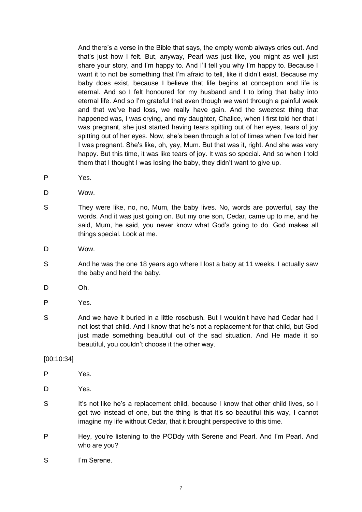And there's a verse in the Bible that says, the empty womb always cries out. And that's just how I felt. But, anyway, Pearl was just like, you might as well just share your story, and I'm happy to. And I'll tell you why I'm happy to. Because I want it to not be something that I'm afraid to tell, like it didn't exist. Because my baby does exist, because I believe that life begins at conception and life is eternal. And so I felt honoured for my husband and I to bring that baby into eternal life. And so I'm grateful that even though we went through a painful week and that we've had loss, we really have gain. And the sweetest thing that happened was, I was crying, and my daughter, Chalice, when I first told her that I was pregnant, she just started having tears spitting out of her eyes, tears of joy spitting out of her eyes. Now, she's been through a lot of times when I've told her I was pregnant. She's like, oh, yay, Mum. But that was it, right. And she was very happy. But this time, it was like tears of joy. It was so special. And so when I told them that I thought I was losing the baby, they didn't want to give up.

- P Yes.
- D Wow.
- S They were like, no, no, Mum, the baby lives. No, words are powerful, say the words. And it was just going on. But my one son, Cedar, came up to me, and he said, Mum, he said, you never know what God's going to do. God makes all things special. Look at me.
- D Wow.
- S And he was the one 18 years ago where I lost a baby at 11 weeks. I actually saw the baby and held the baby.
- D Oh.
- P Yes.
- S And we have it buried in a little rosebush. But I wouldn't have had Cedar had I not lost that child. And I know that he's not a replacement for that child, but God just made something beautiful out of the sad situation. And He made it so beautiful, you couldn't choose it the other way.

#### [00:10:34]

- P Yes.
- D Yes.
- S It's not like he's a replacement child, because I know that other child lives, so I got two instead of one, but the thing is that it's so beautiful this way, I cannot imagine my life without Cedar, that it brought perspective to this time.
- P Hey, you're listening to the PODdy with Serene and Pearl. And I'm Pearl. And who are you?
- S I'm Serene.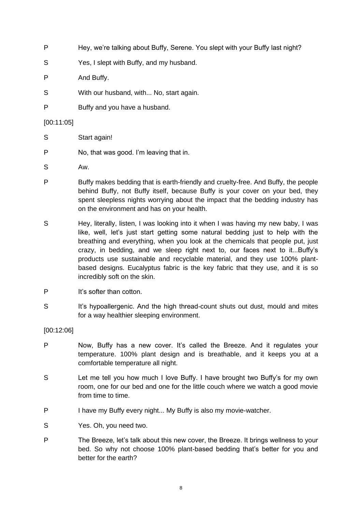- P Hey, we're talking about Buffy, Serene. You slept with your Buffy last night?
- S Yes, I slept with Buffy, and my husband.
- P And Buffy.
- S With our husband, with... No, start again.
- P Buffy and you have a husband.

#### [00:11:05]

- S Start again!
- P No, that was good. I'm leaving that in.
- S Aw.
- P Buffy makes bedding that is earth-friendly and cruelty-free. And Buffy, the people behind Buffy, not Buffy itself, because Buffy is your cover on your bed, they spent sleepless nights worrying about the impact that the bedding industry has on the environment and has on your health.
- S Hey, literally, listen, I was looking into it when I was having my new baby, I was like, well, let's just start getting some natural bedding just to help with the breathing and everything, when you look at the chemicals that people put, just crazy, in bedding, and we sleep right next to, our faces next to it...Buffy's products use sustainable and recyclable material, and they use 100% plantbased designs. Eucalyptus fabric is the key fabric that they use, and it is so incredibly soft on the skin.
- P It's softer than cotton.
- S It's hypoallergenic. And the high thread-count shuts out dust, mould and mites for a way healthier sleeping environment.

[00:12:06]

- P Now, Buffy has a new cover. It's called the Breeze. And it regulates your temperature. 100% plant design and is breathable, and it keeps you at a comfortable temperature all night.
- S Let me tell you how much I love Buffy. I have brought two Buffy's for my own room, one for our bed and one for the little couch where we watch a good movie from time to time.
- P I have my Buffy every night... My Buffy is also my movie-watcher.
- S Yes. Oh, you need two.
- P The Breeze, let's talk about this new cover, the Breeze. It brings wellness to your bed. So why not choose 100% plant-based bedding that's better for you and better for the earth?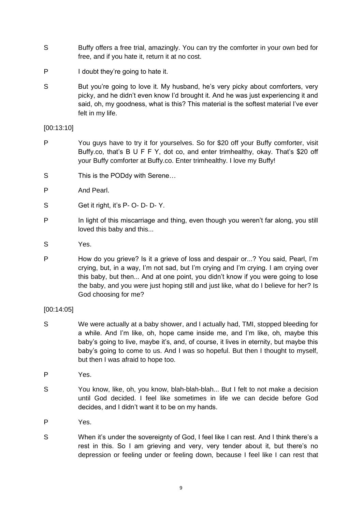- S Buffy offers a free trial, amazingly. You can try the comforter in your own bed for free, and if you hate it, return it at no cost.
- P I doubt they're going to hate it.
- S But you're going to love it. My husband, he's very picky about comforters, very picky, and he didn't even know I'd brought it. And he was just experiencing it and said, oh, my goodness, what is this? This material is the softest material I've ever felt in my life.

# [00:13:10]

- P You guys have to try it for yourselves. So for \$20 off your Buffy comforter, visit Buffy.co, that's B U F F Y, dot co, and enter trimhealthy, okay. That's \$20 off your Buffy comforter at Buffy.co. Enter trimhealthy. I love my Buffy!
- S This is the PODdy with Serene...
- P And Pearl.
- S Get it right, it's P- O- D- D- Y.
- P In light of this miscarriage and thing, even though you weren't far along, you still loved this baby and this...
- S Yes.
- P How do you grieve? Is it a grieve of loss and despair or...? You said, Pearl, I'm crying, but, in a way, I'm not sad, but I'm crying and I'm crying. I am crying over this baby, but then... And at one point, you didn't know if you were going to lose the baby, and you were just hoping still and just like, what do I believe for her? Is God choosing for me?

# [00:14:05]

- S We were actually at a baby shower, and I actually had, TMI, stopped bleeding for a while. And I'm like, oh, hope came inside me, and I'm like, oh, maybe this baby's going to live, maybe it's, and, of course, it lives in eternity, but maybe this baby's going to come to us. And I was so hopeful. But then I thought to myself, but then I was afraid to hope too.
- P Yes.
- S You know, like, oh, you know, blah-blah-blah... But I felt to not make a decision until God decided. I feel like sometimes in life we can decide before God decides, and I didn't want it to be on my hands.
- P Yes.
- S When it's under the sovereignty of God, I feel like I can rest. And I think there's a rest in this. So I am grieving and very, very tender about it, but there's no depression or feeling under or feeling down, because I feel like I can rest that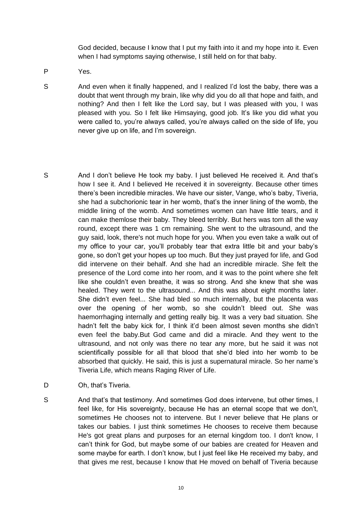God decided, because I know that I put my faith into it and my hope into it. Even when I had symptoms saying otherwise, I still held on for that baby.

- P Yes.
- S And even when it finally happened, and I realized I'd lost the baby, there was a doubt that went through my brain, like why did you do all that hope and faith, and nothing? And then I felt like the Lord say, but I was pleased with you, I was pleased with you. So I felt like Himsaying, good job. It's like you did what you were called to, you're always called, you're always called on the side of life, you never give up on life, and I'm sovereign.
- S And I don't believe He took my baby. I just believed He received it. And that's how I see it. And I believed He received it in sovereignty. Because other times there's been incredible miracles. We have our sister, Vange, who's baby, Tiveria, she had a subchorionic tear in her womb, that's the inner lining of the womb, the middle lining of the womb. And sometimes women can have little tears, and it can make themlose their baby. They bleed terribly. But hers was torn all the way round, except there was 1 cm remaining. She went to the ultrasound, and the guy said, look, there's not much hope for you. When you even take a walk out of my office to your car, you'll probably tear that extra little bit and your baby's gone, so don't get your hopes up too much. But they just prayed for life, and God did intervene on their behalf. And she had an incredible miracle. She felt the presence of the Lord come into her room, and it was to the point where she felt like she couldn't even breathe, it was so strong. And she knew that she was healed. They went to the ultrasound... And this was about eight months later. She didn't even feel... She had bled so much internally, but the placenta was over the opening of her womb, so she couldn't bleed out. She was haemorrhaging internally and getting really big. It was a very bad situation. She hadn't felt the baby kick for, I think it'd been almost seven months she didn't even feel the baby.But God came and did a miracle. And they went to the ultrasound, and not only was there no tear any more, but he said it was not scientifically possible for all that blood that she'd bled into her womb to be absorbed that quickly. He said, this is just a supernatural miracle. So her name's Tiveria Life, which means Raging River of Life.
- D Oh, that's Tiveria.
- S And that's that testimony. And sometimes God does intervene, but other times, I feel like, for His sovereignty, because He has an eternal scope that we don't, sometimes He chooses not to intervene. But I never believe that He plans or takes our babies. I just think sometimes He chooses to receive them because He's got great plans and purposes for an eternal kingdom too. I don't know, I can't think for God, but maybe some of our babies are created for Heaven and some maybe for earth. I don't know, but I just feel like He received my baby, and that gives me rest, because I know that He moved on behalf of Tiveria because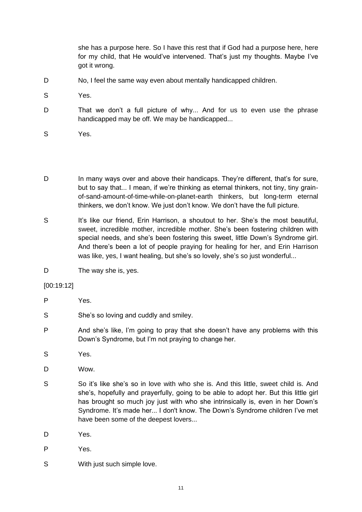she has a purpose here. So I have this rest that if God had a purpose here, here for my child, that He would've intervened. That's just my thoughts. Maybe I've got it wrong.

- D No, I feel the same way even about mentally handicapped children.
- S Yes.
- D That we don't a full picture of why... And for us to even use the phrase handicapped may be off. We may be handicapped...
- S Yes.
- D In many ways over and above their handicaps. They're different, that's for sure, but to say that... I mean, if we're thinking as eternal thinkers, not tiny, tiny grainof-sand-amount-of-time-while-on-planet-earth thinkers, but long-term eternal thinkers, we don't know. We just don't know. We don't have the full picture.
- S It's like our friend. Erin Harrison, a shoutout to her. She's the most beautiful, sweet, incredible mother, incredible mother. She's been fostering children with special needs, and she's been fostering this sweet, little Down's Syndrome girl. And there's been a lot of people praying for healing for her, and Erin Harrison was like, yes, I want healing, but she's so lovely, she's so just wonderful...
- D The way she is, yes.

[00:19:12]

- P Yes.
- S She's so loving and cuddly and smiley.
- P And she's like, I'm going to pray that she doesn't have any problems with this Down's Syndrome, but I'm not praying to change her.
- S Yes.
- D Wow.
- S So it's like she's so in love with who she is. And this little, sweet child is, And she's, hopefully and prayerfully, going to be able to adopt her. But this little girl has brought so much joy just with who she intrinsically is, even in her Down's Syndrome. It's made her... I don't know. The Down's Syndrome children I've met have been some of the deepest lovers...
- D Yes.
- P Yes.
- S With just such simple love.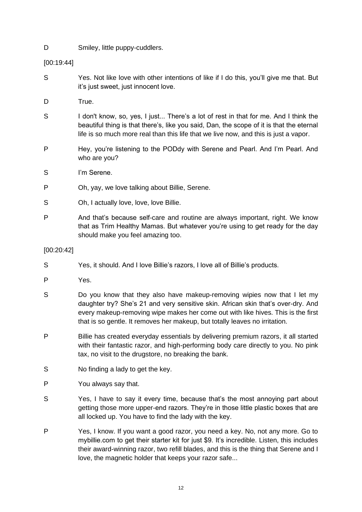D Smiley, little puppy-cuddlers.

[00:19:44]

- S Yes. Not like love with other intentions of like if I do this, you'll give me that. But it's just sweet, just innocent love.
- D True.
- S I don't know, so, yes, I just... There's a lot of rest in that for me. And I think the beautiful thing is that there's, like you said, Dan, the scope of it is that the eternal life is so much more real than this life that we live now, and this is just a vapor.
- P Hey, you're listening to the PODdy with Serene and Pearl. And I'm Pearl. And who are you?
- S I'm Serene.
- P Oh, yay, we love talking about Billie, Serene.
- S Oh, I actually love, love, love Billie.
- P And that's because self-care and routine are always important, right. We know that as Trim Healthy Mamas. But whatever you're using to get ready for the day should make you feel amazing too.

# [00:20:42]

- S Yes, it should. And I love Billie's razors, I love all of Billie's products.
- P Yes.
- S Do you know that they also have makeup-removing wipies now that I let my daughter try? She's 21 and very sensitive skin. African skin that's over-dry. And every makeup-removing wipe makes her come out with like hives. This is the first that is so gentle. It removes her makeup, but totally leaves no irritation.
- P Billie has created everyday essentials by delivering premium razors, it all started with their fantastic razor, and high-performing body care directly to you. No pink tax, no visit to the drugstore, no breaking the bank.
- S No finding a lady to get the key.
- P You always say that.
- S Yes, I have to say it every time, because that's the most annoying part about getting those more upper-end razors. They're in those little plastic boxes that are all locked up. You have to find the lady with the key.
- P Yes, I know. If you want a good razor, you need a key. No, not any more. Go to mybillie.com to get their starter kit for just \$9. It's incredible. Listen, this includes their award-winning razor, two refill blades, and this is the thing that Serene and I love, the magnetic holder that keeps your razor safe...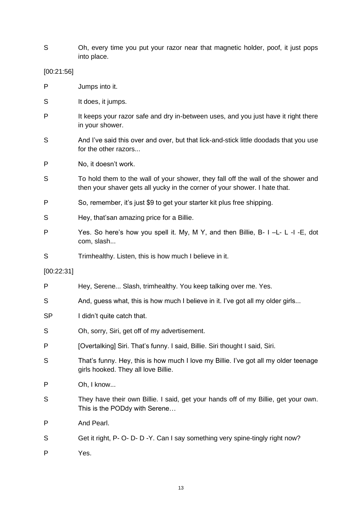S Oh, every time you put your razor near that magnetic holder, poof, it just pops into place.

[00:21:56]

- P Jumps into it.
- S It does, it jumps.
- P It keeps your razor safe and dry in-between uses, and you just have it right there in your shower.
- S And I've said this over and over, but that lick-and-stick little doodads that you use for the other razors...
- P No, it doesn't work.
- S To hold them to the wall of your shower, they fall off the wall of the shower and then your shaver gets all yucky in the corner of your shower. I hate that.
- P So, remember, it's just \$9 to get your starter kit plus free shipping.
- S Hey, that'san amazing price for a Billie.
- P Yes. So here's how you spell it. My, M Y, and then Billie, B- I –L- L -I -E, dot com, slash...
- S Trimhealthy. Listen, this is how much I believe in it.

[00:22:31]

P Hey, Serene... Slash, trimhealthy. You keep talking over me. Yes. S And, guess what, this is how much I believe in it. I've got all my older girls... SP I didn't quite catch that. S Oh, sorry, Siri, get off of my advertisement. P [Overtalking] Siri. That's funny. I said, Billie. Siri thought I said, Siri. S That's funny. Hey, this is how much I love my Billie. I've got all my older teenage girls hooked. They all love Billie. P Oh, I know... S They have their own Billie. I said, get your hands off of my Billie, get your own. This is the PODdy with Serene… P And Pearl. S Get it right, P- O- D- D-Y. Can I say something very spine-tingly right now? P Yes.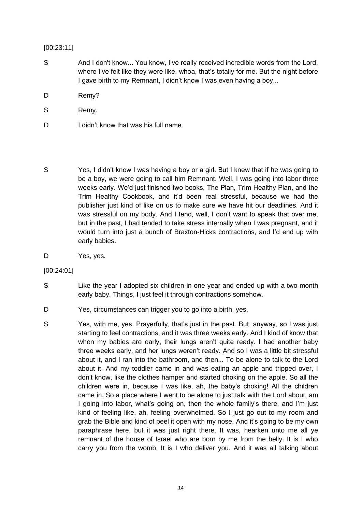## [00:23:11]

- S And I don't know... You know, I've really received incredible words from the Lord, where I've felt like they were like, whoa, that's totally for me. But the night before I gave birth to my Remnant, I didn't know I was even having a boy...
- D Remy?
- S Remy.
- D I didn't know that was his full name.
- S Yes, I didn't know I was having a boy or a girl. But I knew that if he was going to be a boy, we were going to call him Remnant. Well, I was going into labor three weeks early. We'd just finished two books, The Plan, Trim Healthy Plan, and the Trim Healthy Cookbook, and it'd been real stressful, because we had the publisher just kind of like on us to make sure we have hit our deadlines. And it was stressful on my body. And I tend, well, I don't want to speak that over me, but in the past, I had tended to take stress internally when I was pregnant, and it would turn into just a bunch of Braxton-Hicks contractions, and I'd end up with early babies.
- D Yes, yes.

[00:24:01]

- S Like the year I adopted six children in one year and ended up with a two-month early baby. Things, I just feel it through contractions somehow.
- D Yes, circumstances can trigger you to go into a birth, yes.
- S Yes, with me, yes. Prayerfully, that's just in the past. But, anyway, so I was just starting to feel contractions, and it was three weeks early. And I kind of know that when my babies are early, their lungs aren't quite ready. I had another baby three weeks early, and her lungs weren't ready. And so I was a little bit stressful about it, and I ran into the bathroom, and then... To be alone to talk to the Lord about it. And my toddler came in and was eating an apple and tripped over, I don't know, like the clothes hamper and started choking on the apple. So all the children were in, because I was like, ah, the baby's choking! All the children came in. So a place where I went to be alone to just talk with the Lord about, am I going into labor, what's going on, then the whole family's there, and I'm just kind of feeling like, ah, feeling overwhelmed. So I just go out to my room and grab the Bible and kind of peel it open with my nose. And it's going to be my own paraphrase here, but it was just right there. It was, hearken unto me all ye remnant of the house of Israel who are born by me from the belly. It is I who carry you from the womb. It is I who deliver you. And it was all talking about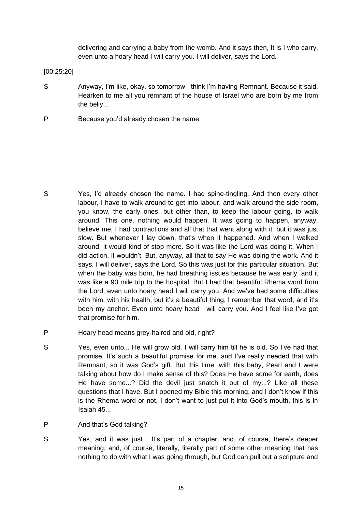delivering and carrying a baby from the womb. And it says then, It is I who carry, even unto a hoary head I will carry you. I will deliver, says the Lord.

[00:25:20]

- S Anyway, I'm like, okay, so tomorrow I think I'm having Remnant. Because it said, Hearken to me all you remnant of the house of Israel who are born by me from the belly...
- P Because you'd already chosen the name.

- S Yes, I'd already chosen the name. I had spine-tingling. And then every other labour, I have to walk around to get into labour, and walk around the side room, you know, the early ones, but other than, to keep the labour going, to walk around. This one, nothing would happen. It was going to happen, anyway, believe me, I had contractions and all that that went along with it. but it was just slow. But whenever I lay down, that's when it happened. And when I walked around, it would kind of stop more. So it was like the Lord was doing it. When I did action, it wouldn't. But, anyway, all that to say He was doing the work. And it says, I will deliver, says the Lord. So this was just for this particular situation. But when the baby was born, he had breathing issues because he was early, and it was like a 90 mile trip to the hospital. But I had that beautiful Rhema word from the Lord, even unto hoary head I will carry you. And we've had some difficulties with him, with his health, but it's a beautiful thing. I remember that word, and it's been my anchor. Even unto hoary head I will carry you. And I feel like I've got that promise for him.
- P Hoary head means grey-haired and old, right?
- S Yes, even unto... He will grow old. I will carry him till he is old. So I've had that promise. It's such a beautiful promise for me, and I've really needed that with Remnant, so it was God's gift. But this time, with this baby, Pearl and I were talking about how do I make sense of this? Does He have some for earth, does He have some...? Did the devil just snatch it out of my...? Like all these questions that I have. But I opened my Bible this morning, and I don't know if this is the Rhema word or not, I don't want to just put it into God's mouth, this is in Isaiah 45...
- P And that's God talking?
- S Yes, and it was just... It's part of a chapter, and, of course, there's deeper meaning, and, of course, literally, literally part of some other meaning that has nothing to do with what I was going through, but God can pull out a scripture and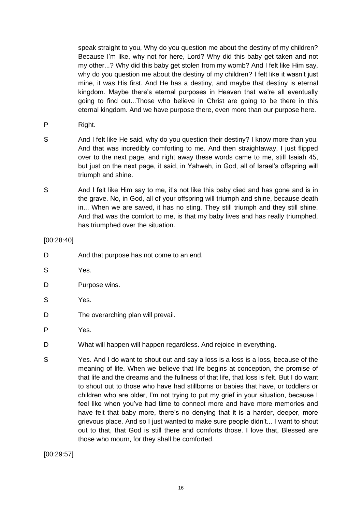speak straight to you, Why do you question me about the destiny of my children? Because I'm like, why not for here, Lord? Why did this baby get taken and not my other...? Why did this baby get stolen from my womb? And I felt like Him say, why do you question me about the destiny of my children? I felt like it wasn't just mine, it was His first. And He has a destiny, and maybe that destiny is eternal kingdom. Maybe there's eternal purposes in Heaven that we're all eventually going to find out...Those who believe in Christ are going to be there in this eternal kingdom. And we have purpose there, even more than our purpose here.

- P Right.
- S And I felt like He said, why do you question their destiny? I know more than you. And that was incredibly comforting to me. And then straightaway, I just flipped over to the next page, and right away these words came to me, still Isaiah 45, but just on the next page, it said, in Yahweh, in God, all of Israel's offspring will triumph and shine.
- S And I felt like Him say to me, it's not like this baby died and has gone and is in the grave. No, in God, all of your offspring will triumph and shine, because death in... When we are saved, it has no sting. They still triumph and they still shine. And that was the comfort to me, is that my baby lives and has really triumphed, has triumphed over the situation.

[00:28:40]

- D And that purpose has not come to an end.
- S Yes.
- D Purpose wins.
- S Yes.
- D The overarching plan will prevail.
- P Yes.
- D What will happen will happen regardless. And rejoice in everything.
- S Yes. And I do want to shout out and say a loss is a loss is a loss, because of the meaning of life. When we believe that life begins at conception, the promise of that life and the dreams and the fullness of that life, that loss is felt. But I do want to shout out to those who have had stillborns or babies that have, or toddlers or children who are older, I'm not trying to put my grief in your situation, because I feel like when you've had time to connect more and have more memories and have felt that baby more, there's no denying that it is a harder, deeper, more grievous place. And so I just wanted to make sure people didn't... I want to shout out to that, that God is still there and comforts those. I love that, Blessed are those who mourn, for they shall be comforted.

[00:29:57]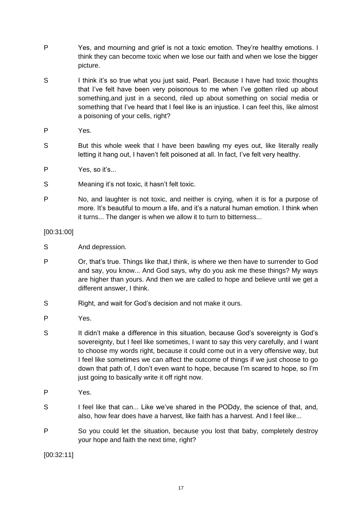- P Yes, and mourning and grief is not a toxic emotion. They're healthy emotions. I think they can become toxic when we lose our faith and when we lose the bigger picture.
- S I think it's so true what you just said, Pearl. Because I have had toxic thoughts that I've felt have been very poisonous to me when I've gotten riled up about something,and just in a second, riled up about something on social media or something that I've heard that I feel like is an injustice. I can feel this, like almost a poisoning of your cells, right?
- P Yes.
- S But this whole week that I have been bawling my eyes out, like literally really letting it hang out, I haven't felt poisoned at all. In fact, I've felt very healthy.
- P Yes, so it's...
- S Meaning it's not toxic, it hasn't felt toxic.
- P No, and laughter is not toxic, and neither is crying, when it is for a purpose of more. It's beautiful to mourn a life, and it's a natural human emotion. I think when it turns... The danger is when we allow it to turn to bitterness...

[00:31:00]

- S And depression.
- P Or, that's true. Things like that,I think, is where we then have to surrender to God and say, you know... And God says, why do you ask me these things? My ways are higher than yours. And then we are called to hope and believe until we get a different answer, I think.
- S Right, and wait for God's decision and not make it ours.
- P Yes.
- S It didn't make a difference in this situation, because God's sovereignty is God's sovereignty, but I feel like sometimes, I want to say this very carefully, and I want to choose my words right, because it could come out in a very offensive way, but I feel like sometimes we can affect the outcome of things if we just choose to go down that path of, I don't even want to hope, because I'm scared to hope, so I'm just going to basically write it off right now.
- P Yes.
- S I feel like that can... Like we've shared in the PODdy, the science of that, and, also, how fear does have a harvest, like faith has a harvest. And I feel like...
- P So you could let the situation, because you lost that baby, completely destroy your hope and faith the next time, right?

[00:32:11]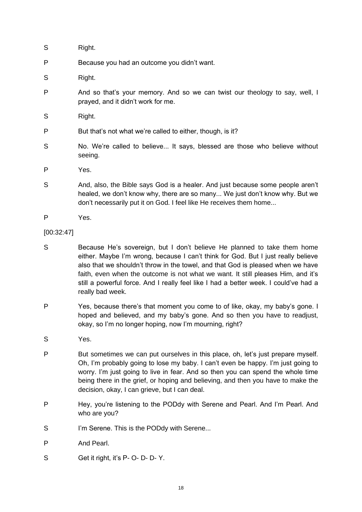| S | Right.                                                                                                            |
|---|-------------------------------------------------------------------------------------------------------------------|
| P | Because you had an outcome you didn't want.                                                                       |
| S | Right.                                                                                                            |
| P | And so that's your memory. And so we can twist our theology to say, well, I<br>prayed, and it didn't work for me. |
| S | Right.                                                                                                            |
| P | But that's not what we're called to either, though, is it?                                                        |
| S | No. We're called to believe It says, blessed are those who believe without<br>seeing.                             |
|   |                                                                                                                   |

- P Yes.
- S And, also, the Bible says God is a healer. And just because some people aren't healed, we don't know why, there are so many... We just don't know why. But we don't necessarily put it on God. I feel like He receives them home...
- P Yes.
- [00:32:47]
- S Because He's sovereign, but I don't believe He planned to take them home either. Maybe I'm wrong, because I can't think for God. But I just really believe also that we shouldn't throw in the towel, and that God is pleased when we have faith, even when the outcome is not what we want. It still pleases Him, and it's still a powerful force. And I really feel like I had a better week. I could've had a really bad week.
- P Yes, because there's that moment you come to of like, okay, my baby's gone. I hoped and believed, and my baby's gone. And so then you have to readjust, okay, so I'm no longer hoping, now I'm mourning, right?
- S Yes.
- P But sometimes we can put ourselves in this place, oh, let's just prepare myself. Oh, I'm probably going to lose my baby. I can't even be happy. I'm just going to worry. I'm just going to live in fear. And so then you can spend the whole time being there in the grief, or hoping and believing, and then you have to make the decision, okay, I can grieve, but I can deal.
- P Hey, you're listening to the PODdy with Serene and Pearl. And I'm Pearl. And who are you?
- S I'm Serene. This is the PODdy with Serene...
- P And Pearl.
- S Get it right, it's P- O- D- D- Y.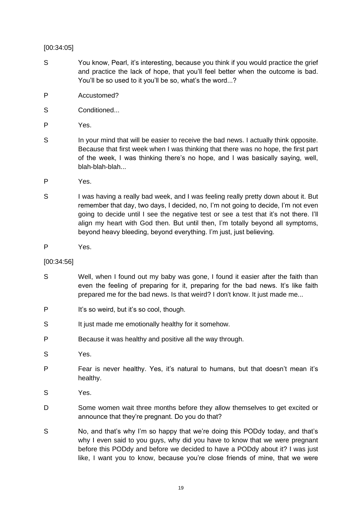# [00:34:05]

- S You know, Pearl, it's interesting, because you think if you would practice the grief and practice the lack of hope, that you'll feel better when the outcome is bad. You'll be so used to it you'll be so, what's the word...?
- P Accustomed?
- S Conditioned...
- P Yes.
- S In your mind that will be easier to receive the bad news. I actually think opposite. Because that first week when I was thinking that there was no hope, the first part of the week, I was thinking there's no hope, and I was basically saying, well, blah-blah-blah...
- P Yes.
- S I was having a really bad week, and I was feeling really pretty down about it. But remember that day, two days, I decided, no, I'm not going to decide, I'm not even going to decide until I see the negative test or see a test that it's not there. I'll align my heart with God then. But until then, I'm totally beyond all symptoms, beyond heavy bleeding, beyond everything. I'm just, just believing.
- P Yes.

#### [00:34:56]

- S Well, when I found out my baby was gone, I found it easier after the faith than even the feeling of preparing for it, preparing for the bad news. It's like faith prepared me for the bad news. Is that weird? I don't know. It just made me...
- P It's so weird, but it's so cool, though.
- S It just made me emotionally healthy for it somehow.
- P Because it was healthy and positive all the way through.
- S Yes.
- P Fear is never healthy. Yes, it's natural to humans, but that doesn't mean it's healthy.
- S Yes.
- D Some women wait three months before they allow themselves to get excited or announce that they're pregnant. Do you do that?
- S No, and that's why I'm so happy that we're doing this PODdy today, and that's why I even said to you guys, why did you have to know that we were pregnant before this PODdy and before we decided to have a PODdy about it? I was just like, I want you to know, because you're close friends of mine, that we were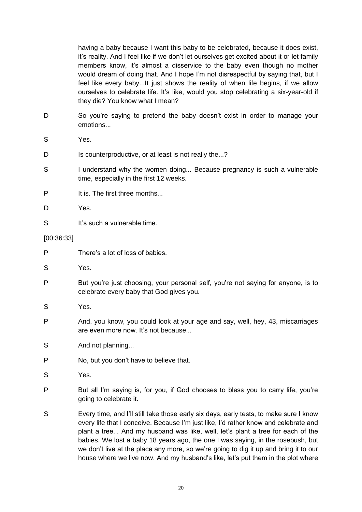having a baby because I want this baby to be celebrated, because it does exist, it's reality. And I feel like if we don't let ourselves get excited about it or let family members know, it's almost a disservice to the baby even though no mother would dream of doing that. And I hope I'm not disrespectful by saying that, but I feel like every baby...It just shows the reality of when life begins, if we allow ourselves to celebrate life. It's like, would you stop celebrating a six-year-old if they die? You know what I mean?

- D So you're saying to pretend the baby doesn't exist in order to manage your emotions...
- S Yes.
- D Is counterproductive, or at least is not really the...?
- S I understand why the women doing... Because pregnancy is such a vulnerable time, especially in the first 12 weeks.
- P It is. The first three months...
- D Yes.
- S It's such a vulnerable time.

[00:36:33]

- P There's a lot of loss of babies.
- S Yes.
- P But you're just choosing, your personal self, you're not saying for anyone, is to celebrate every baby that God gives you.
- S Yes.
- P And, you know, you could look at your age and say, well, hey, 43, miscarriages are even more now. It's not because...
- S And not planning...
- P No, but you don't have to believe that.
- S Yes.
- P But all I'm saying is, for you, if God chooses to bless you to carry life, you're going to celebrate it.
- S Every time, and I'll still take those early six days, early tests, to make sure I know every life that I conceive. Because I'm just like, I'd rather know and celebrate and plant a tree... And my husband was like, well, let's plant a tree for each of the babies. We lost a baby 18 years ago, the one I was saying, in the rosebush, but we don't live at the place any more, so we're going to dig it up and bring it to our house where we live now. And my husband's like, let's put them in the plot where